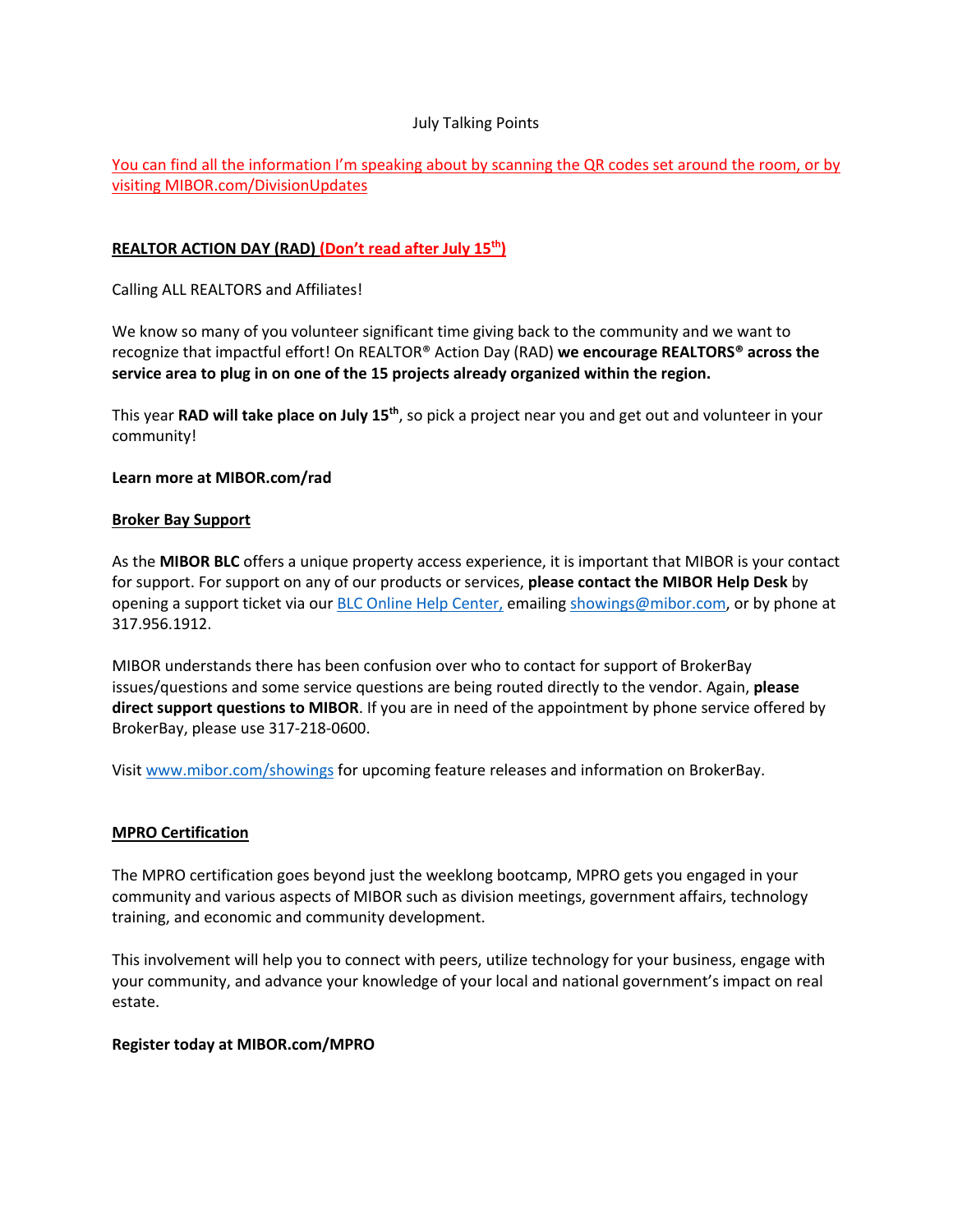### July Talking Points

# You can find all the information I'm speaking about by scanning the QR codes set around the room, or by visiting MIBOR.com/DivisionUpdates

## **REALTOR ACTION DAY (RAD) (Don't read after July 15th)**

Calling ALL REALTORS and Affiliates!

We know so many of you volunteer significant time giving back to the community and we want to recognize that impactful effort! On REALTOR® Action Day (RAD) **we encourage REALTORS® across the service area to plug in on one of the 15 projects already organized within the region.**

This year **RAD will take place on July 15th**, so pick a project near you and get out and volunteer in your community!

### **Learn more at MIBOR.com/rad**

#### **Broker Bay Support**

As the **MIBOR BLC** offers a unique property access experience, it is important that MIBOR is your contact for support. For support on any of our products or services, **please contact the MIBOR Help Desk** by opening a support ticket via our BLC Online Help Center, emailing showings@mibor.com, or by phone at 317.956.1912.

MIBOR understands there has been confusion over who to contact for support of BrokerBay issues/questions and some service questions are being routed directly to the vendor. Again, **please direct support questions to MIBOR**. If you are in need of the appointment by phone service offered by BrokerBay, please use 317-218-0600.

Visit www.mibor.com/showings for upcoming feature releases and information on BrokerBay.

## **MPRO Certification**

The MPRO certification goes beyond just the weeklong bootcamp, MPRO gets you engaged in your community and various aspects of MIBOR such as division meetings, government affairs, technology training, and economic and community development.

This involvement will help you to connect with peers, utilize technology for your business, engage with your community, and advance your knowledge of your local and national government's impact on real estate.

#### **Register today at MIBOR.com/MPRO**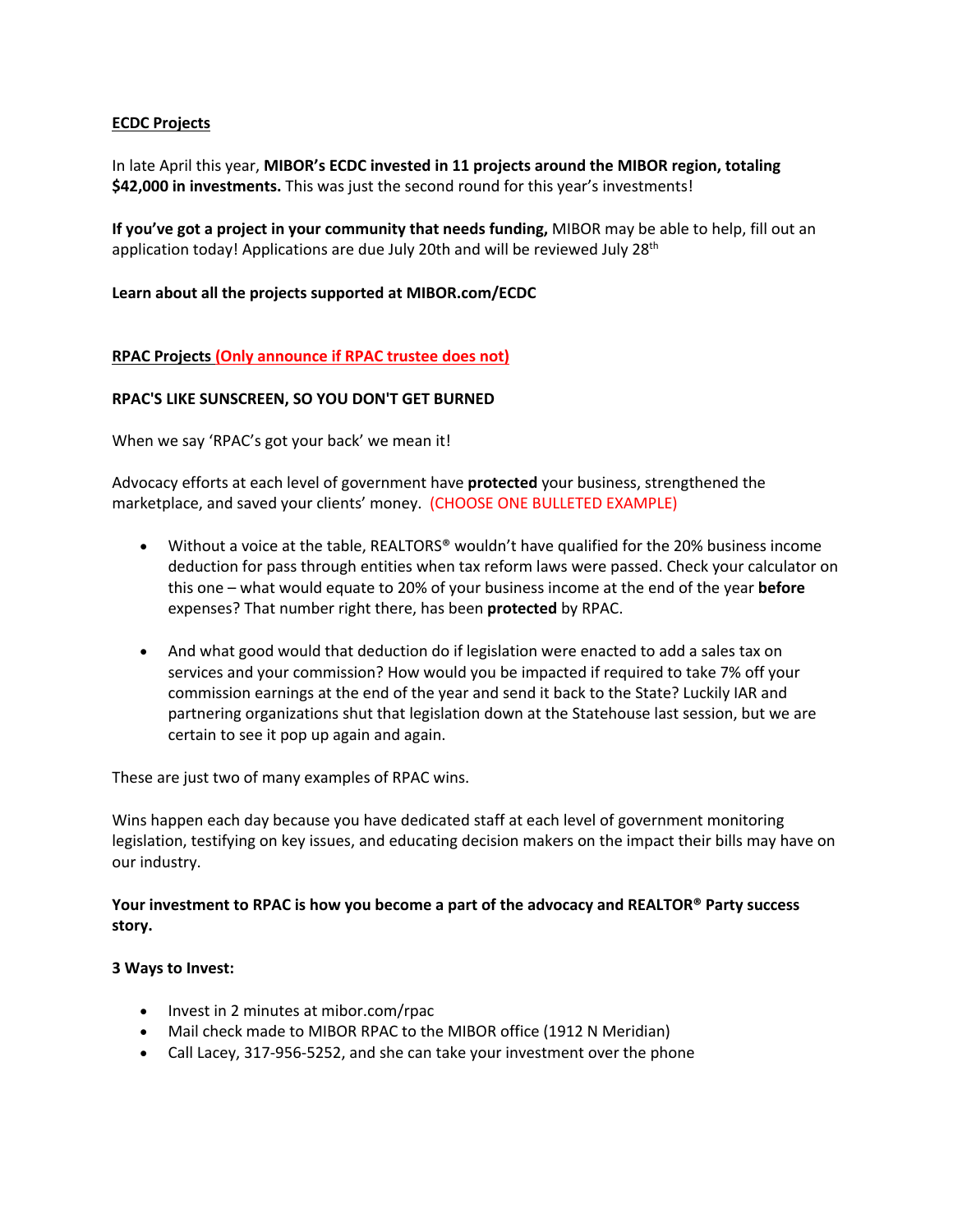## **ECDC Projects**

In late April this year, **MIBOR's ECDC invested in 11 projects around the MIBOR region, totaling \$42,000 in investments.** This was just the second round for this year's investments!

**If you've got a project in your community that needs funding,** MIBOR may be able to help, fill out an application today! Applications are due July 20th and will be reviewed July 28<sup>th</sup>

### **Learn about all the projects supported at MIBOR.com/ECDC**

## **RPAC Projects (Only announce if RPAC trustee does not)**

### **RPAC'S LIKE SUNSCREEN, SO YOU DON'T GET BURNED**

When we say 'RPAC's got your back' we mean it!

Advocacy efforts at each level of government have **protected** your business, strengthened the marketplace, and saved your clients' money.  (CHOOSE ONE BULLETED EXAMPLE)

- Without a voice at the table, REALTORS® wouldn't have qualified for the 20% business income deduction for pass through entities when tax reform laws were passed. Check your calculator on this one – what would equate to 20% of your business income at the end of the year **before** expenses? That number right there, has been **protected** by RPAC.
- And what good would that deduction do if legislation were enacted to add a sales tax on services and your commission? How would you be impacted if required to take 7% off your commission earnings at the end of the year and send it back to the State? Luckily IAR and partnering organizations shut that legislation down at the Statehouse last session, but we are certain to see it pop up again and again.

These are just two of many examples of RPAC wins.

Wins happen each day because you have dedicated staff at each level of government monitoring legislation, testifying on key issues, and educating decision makers on the impact their bills may have on our industry.

**Your investment to RPAC is how you become a part of the advocacy and REALTOR® Party success story.**

#### **3 Ways to Invest:**

- Invest in 2 minutes at mibor.com/rpac
- Mail check made to MIBOR RPAC to the MIBOR office (1912 N Meridian)
- Call Lacey, 317-956-5252, and she can take your investment over the phone